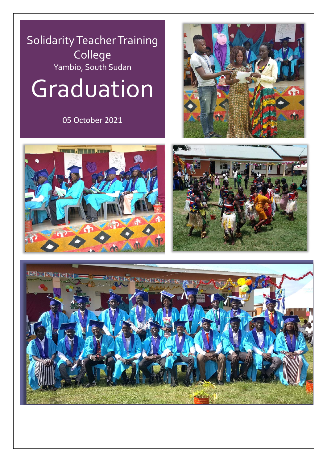## Solidarity Teacher Training College Yambio, South Sudan

## Graduation

05 October 2021